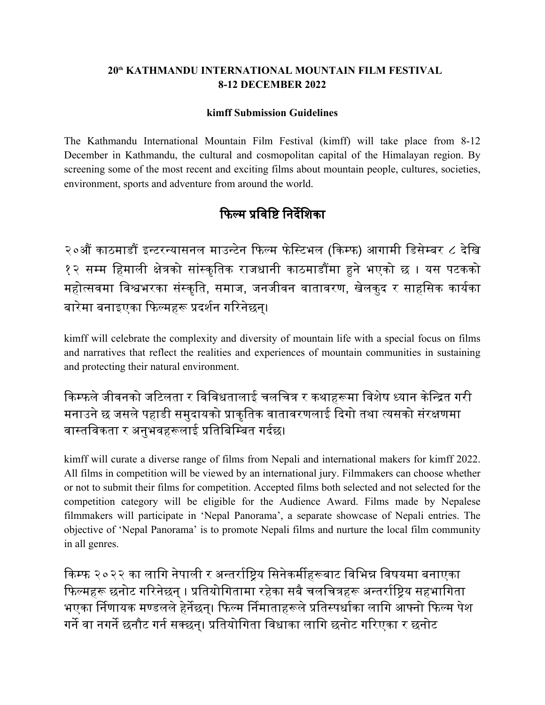### **20th KATHMANDU INTERNATIONAL MOUNTAIN FILM FESTIVAL 8-12 DECEMBER 2022**

#### **kimff Submission Guidelines**

The Kathmandu International Mountain Film Festival (kimff) will take place from 8-12 December in Kathmandu, the cultural and cosmopolitan capital of the Himalayan region. By screening some of the most recent and exciting films about mountain people, cultures, societies, environment, sports and adventure from around the world.

# फिल्म प्रविष्टि निर्देशिका

२०औं काठमाडौं इन्टरन्यासनल माउन्टेन फिल्म फेस्टिभल (किम्फ) आगामी डिसेम्बर ८ देखि १२ सम्म हिमाली क्षेत्रको सांस्कृतिक राजधानी काठमाडौंमा हुने भएको छ । यस पटकको महोत्सवमा विश्वभरका संस्कृति, समाज, जनजीवन वातावरण, खेलकुद र साहसिक कार्यका बारेमा बनाइएका फिल्महरू प्रदर्शन गरिनेछन।

kimff will celebrate the complexity and diversity of mountain life with a special focus on films and narratives that reflect the realities and experiences of mountain communities in sustaining and protecting their natural environment.

किम्फले जीवनको जटिलता र विविधतालाई चलचित्र र कथाहरूमा विशेष ध्यान केन्द्रित गरी मनाउने छ जसले पहाडी समुदायको प्राकृतिक वातावरणलाई दिगो तथा त्यसको संरक्षणमा वास्तविकता र अनुभवहरूलाई प्रतिबिम्बित गर्दछ।

kimff will curate a diverse range of films from Nepali and international makers for kimff 2022. All films in competition will be viewed by an international jury. Filmmakers can choose whether or not to submit their films for competition. Accepted films both selected and not selected for the competition category will be eligible for the Audience Award. Films made by Nepalese filmmakers will participate in 'Nepal Panorama', a separate showcase of Nepali entries. The objective of 'Nepal Panorama' is to promote Nepali films and nurture the local film community in all genres.

किम्फ २०२२ का लागि नेपाली र अन्तर्राष्टिय सिनेकर्मीहरूबाट विभिन्न विषयमा बनाएका फिल्महरू छनोट गरिनेछन् । प्रतियोगितामा रहेका सबै चलचित्रहरू अन्तर्राष्ट्रिय सहभागिता भएका निणायक मण्डलले हेर्नेछन्। फिल्म निमाताहरूले प्रतिस्पर्धाका लागि आफ्नो फिल्म पेश गर्ने वा नगर्ने छनौट गर्न सक्छन्। प्रतियोगिता विधाका लागि छनोट गरिएका र छनोट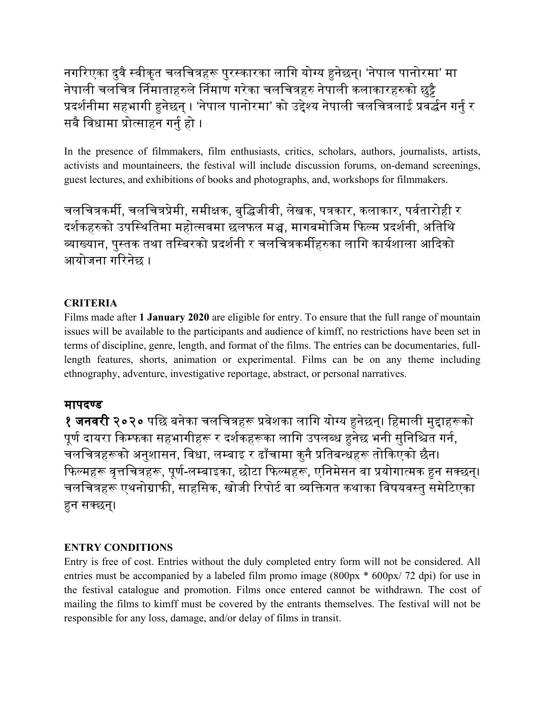नगरिएका दुवै स्वीकृत चलचित्रहरू पुरस्कारका लागि योग्य हुनेछन्। 'नेपाल पानोरमा' मा नेपाली चलचित्र र्निमाताहरुले र्निमाण गरेका चलचित्रहरु नेपाली कलाकारहरुको छुट्टै प्रदर्शनीमा सहभागी हुनेछन् । 'नेपाल पानोरमा' को उद्देश्य नेपाली चलचित्रलाई प्रवर्द्धन गर्नु र सबै विधामा प्रोत्साहन गर्नु हो ।

In the presence of filmmakers, film enthusiasts, critics, scholars, authors, journalists, artists, activists and mountaineers, the festival will include discussion forums, on-demand screenings, guest lectures, and exhibitions of books and photographs, and, workshops for filmmakers.

चलचित्रकर्मी, चलचित्रप्रेमी, समीक्षक, बुद्धिजीवी, लेखक, पत्रकार, कलाकार, पर्वतारोही र दर्शकहरुको उपस्थितिमा महोत्सवमा छलफल मञ्च. मागबमोजिम फिल्म प्रदर्शनी. अतिथि ायान, पुतक तथा तिबरको दशनी र चलिचकमहका लािग कायशाला आदको आयोजना गरनेछ ।

## **CRITERIA**

Films made after **1 January 2020** are eligible for entry. To ensure that the full range of mountain issues will be available to the participants and audience of kimff, no restrictions have been set in terms of discipline, genre, length, and format of the films. The entries can be documentaries, fulllength features, shorts, animation or experimental. Films can be on any theme including ethnography, adventure, investigative reportage, abstract, or personal narratives.

## मापदण्ड

<mark>१ जनवरी २०२०</mark> पछि बनेका चलचित्रहरू प्रवेशका लागि योग्य हुनेछन्। हिमाली मुद्दाहरूको पूर्ण दायरा किम्फका सहभागीहरू र दर्शकहरूका लागि उपलब्ध हुनेछ भनी सुनिश्चित गर्न, चलचित्रहरूको अनुशासन, विधा, लम्बाइ र ढाँचामा कुनै प्रतिबन्धहरू तोकिएको छैन। फिल्महरू वृत्तचित्रहरू, पूर्ण-लम्बाइका, छोटा फिल्महरू, एनिमेसन वा प्रयोगात्मक हुन सक्छन्। चलचित्रहरू एथनोग्राफी, साहसिक, खोजी रिपोर्ट वा व्यक्तिगत कथाका विषयवस्तु समेटिएका हन सक्छन्।

## **ENTRY CONDITIONS**

Entry is free of cost. Entries without the duly completed entry form will not be considered. All entries must be accompanied by a labeled film promo image (800px  $*$  600px/ 72 dpi) for use in the festival catalogue and promotion. Films once entered cannot be withdrawn. The cost of mailing the films to kimff must be covered by the entrants themselves. The festival will not be responsible for any loss, damage, and/or delay of films in transit.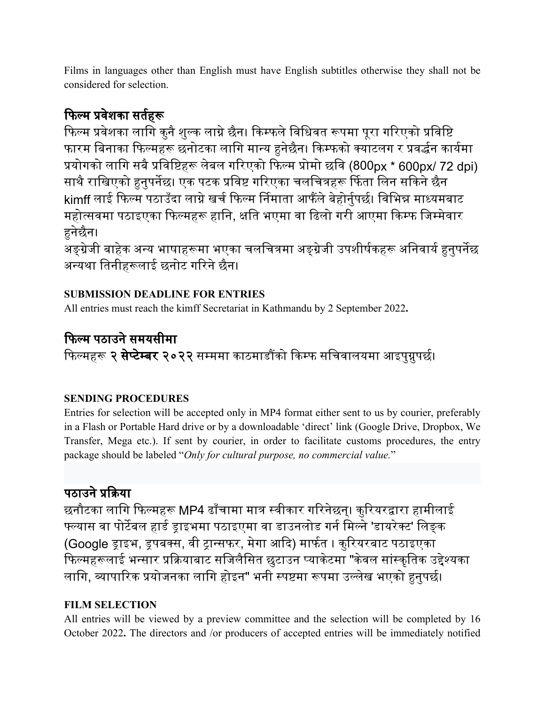Films in languages other than English must have English subtitles otherwise they shall not be considered for selection.

# फिल्म प्रवेशका सर्तहरू

फिल्म प्रवेशका लागि कुनै शुल्क लाग्ने छैन। किम्फले विधिवत रूपमा पूरा गरिएको प्रविष्टि फारम बिनाका फिल्महरू छनोटका लागि मान्य हुनेछैन। किम्फको क्याटलग र प्रवर्द्धन कार्यमा प्रयोगको लागि सबै प्रविष्टिहरू लेबल गरिएको फिल्म प्रोमो छवि (800px \* 600px/ 72 dpi) साथै राखिएको हुनुपर्नेछ। एक पटक प्रविष्ट गरिएका चलचित्रहरू फिता लिन सकिने छैन <u>kimff लाई फिल्म पठाउँदा लाग्ने खर्च फिल्म र्निमाता आफैंले बेहोर्नुपर्छ। विभिन्न माध्यमबाट</u> महोत्सवमा पठाइएका फिल्महरू हानि, क्षति भएमा वा ढिलो गरी आएमा किम्फ जिम्मेवार नेछैन।

अङ्ग्रेजी बाहेक अन्य भाषाहरूमा भएका चलचित्रमा अङ्ग्रेजी उपशीर्षकहरू अनिवार्य हुनुपर्नेछ अयथा ितनीहलाई छनोट गरने छैन।

## **SUBMISSION DEADLINE FOR ENTRIES**

All entries must reach the kimff Secretariat in Kathmandu by 2 September 2022**.**

# फम पठाउने समयसीमा

फिल्महरू **२ सेप्टेम्बर २०२२** सम्ममा काठमाडौंको किम्फ सचिवालयमा आइपुग्नुपर्छ।

## **SENDING PROCEDURES**

Entries for selection will be accepted only in MP4 format either sent to us by courier, preferably in a Flash or Portable Hard drive or by a downloadable 'direct' link (Google Drive, Dropbox, We Transfer, Mega etc.). If sent by courier, in order to facilitate customs procedures, the entry package should be labeled "*Only for cultural purpose, no commercial value.*"

# पठाउने प्रक्रिया

छनौटका लागि फिल्महरू MP4 ढाँचामा मात्र स्वीकार गरिनेछन्। कुरियरद्वारा हामीलाई फ्ल्यास वा पोर्टेबल हार्ड डाइभमा पठाइएमा वा डाउनलोड गर्न मिल्ने 'डायरेक्ट' लिङ्क (Google डाइभ, डुपबक्स, वी ट्रान्सफर, मेगा आदि) मार्फत । कुरियरबाट पठाइएका फिल्महरूलाई भन्सार प्रक्रियाबाट सजिलैसित छुटाउन प्याकेटमा "केवल सांस्कृतिक उद्देश्यका लागि, व्यापारिक प्रयोजनका लागि होइन" भनी स्पष्टमा रूपमा उल्लेख भएको हुनपर्छ।

## **FILM SELECTION**

All entries will be viewed by a preview committee and the selection will be completed by 16 October 2022**.** The directors and /or producers of accepted entries will be immediately notified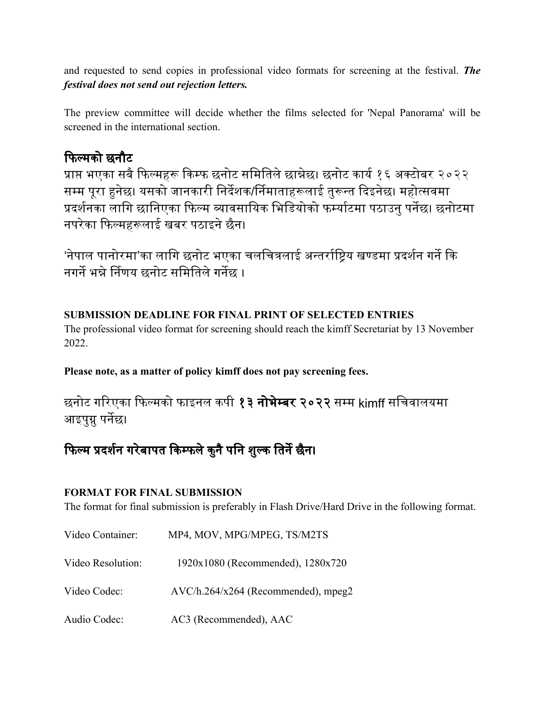and requested to send copies in professional video formats for screening at the festival. *The festival does not send out rejection letters.*

The preview committee will decide whether the films selected for 'Nepal Panorama' will be screened in the international section.

# फमको छनौट

प्राप्त भएका सबै फिल्महरू किम्फ छनोट समितिले छान्नेछ। छनोट कार्य १६ अक्टोबर २०२२ सम्म पूरा हुनेछ। यसको जानकारी निर्देशक/र्निमाताहरूलाई तुरून्त दिइनेछ। महोत्सवमा प्रदर्शनका लागि छानिएका फिल्म व्यावसायिक भिडियोको फर्म्याटमा पठाउनु पर्नेछ। छनोटमा नपरेका फमहलाई खबर पठाइने छैन।

'नेपाल पानोरमा'का लागि छनोट भएका चलचित्रलाई अन्तर्राष्ट्रिय खण्डमा प्रदर्शन गर्ने कि नगर्ने भन्ने निणय छनोट समितिले गर्नेछ ।

## **SUBMISSION DEADLINE FOR FINAL PRINT OF SELECTED ENTRIES**

The professional video format for screening should reach the kimff Secretariat by 13 November 2022.

### **Please note, as a matter of policy kimff does not pay screening fees.**

# छनोट गरिएका फिल्मको फाइनल कपी **१३ नोभेम्बर २०२२** सम्म kimff सचिवालयमा आइपग्न पर्नेछ।

# फिल्म प्रदर्शन गरेबापत किम्फले कुनै पनि शुल्क तिर्ने छैन।

### **FORMAT FOR FINAL SUBMISSION**

The format for final submission is preferably in Flash Drive/Hard Drive in the following format.

| Video Container:  | MP4, MOV, MPG/MPEG, TS/M2TS           |
|-------------------|---------------------------------------|
| Video Resolution: | 1920x1080 (Recommended), 1280x720     |
| Video Codec:      | $AVC/h.264/x264$ (Recommended), mpeg2 |
| Audio Codec:      | AC3 (Recommended), AAC                |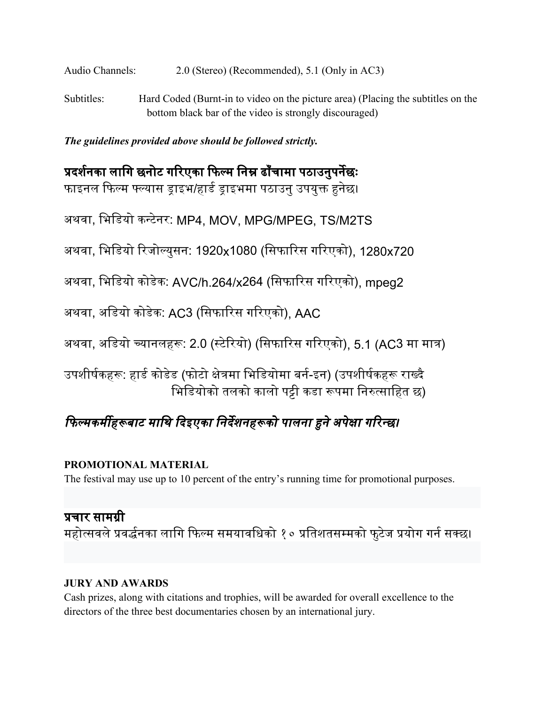Audio Channels: 2.0 (Stereo) (Recommended), 5.1 (Only in AC3)

Subtitles: Hard Coded (Burnt-in to video on the picture area) (Placing the subtitles on the bottom black bar of the video is strongly discouraged)

*The guidelines provided above should be followed strictly.*

प्रदर्शनका लागि छनोट गरिएका फिल्म निम्न ढाँचामा पठाउनुपर्नेछः फाइनल फिल्म फ्ल्यास डाइभ/हार्ड डाइभमा पठाउन् उपयुक्त हुनेछ।

अथवा, िभिडयो कटेनर: MP4, MOV, MPG/MPEG, TS/M2TS

अथवा, िभिडयो रजोयुसन: 1920x1080 (िसफारस गरएको), 1280x720

अथवा, िभिडयो कोडेक: AVC/h.264/x264 (िसफारस गरएको), mpeg2

अथवा, अडियो कोडेक: AC3 (सिफारिस गरिएको), AAC

अथवा, अडियो च्यानलहरू: 2.0 (स्टेरियो) (सिफारिस गरिएको), 5.1 (AC3 मा मात्र)

उपशीर्षकहरू: हार्ड कोडेड (फोटो क्षेत्रमा भिडियोमा बर्न-इन) (उपशीर्षकहरू राख्दै भिडियोको तलको कालो पट्टी कडा रूपमा निरुत्साहित छ)

# फिल्मकर्मीहरूबाट माथि दिइएका निर्देशनहरूको पालना हने अपेक्षा गरिन्छ।

## **PROMOTIONAL MATERIAL**

The festival may use up to 10 percent of the entry's running time for promotional purposes.

## चार सामी

महोत्सवले प्रवर्द्धनका लागि फिल्म समयावधिको १० प्रतिशतसम्मको फुटेज प्रयोग गर्न सक्छ।

### **JURY AND AWARDS**

Cash prizes, along with citations and trophies, will be awarded for overall excellence to the directors of the three best documentaries chosen by an international jury.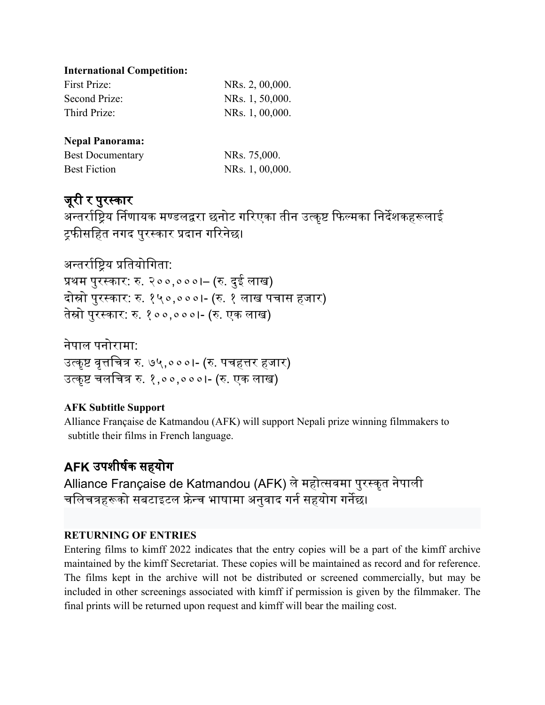#### **International Competition:**

| First Prize:  | NRs. 2, 00,000. |
|---------------|-----------------|
| Second Prize: | NRs. 1, 50,000. |
| Third Prize:  | NRs. 1, 00,000. |

#### **Nepal Panorama:**

| <b>Best Documentary</b> | NRs. 75,000.    |
|-------------------------|-----------------|
| <b>Best Fiction</b>     | NRs. 1, 00,000. |

# जूरी र पुरकार

अन्तर्राष्ट्रिय निणायक मण्डलद्वरा छनोट गरिएका तीन उत्कृष्ट फिल्मका निर्देशकहरूलाई ट्रफीसहित नगद पुरस्कार प्रदान गरिनेछ।

## अन्तर्राष्टिय प्रतियोगिता:

प्रथम पुरस्कार: रु. २००,०००।– (रु. दुई लाख) दोस्रो पुरस्कार: रु. १५०,०००।- (रु. १ लाख पचास हजार) तेस्रो पुरस्कार: रु. १००,०००।- (रु. एक लाख)

नेपाल पनोरामा: उत्कृष्ट वृत्तचित्र रु. ७५,०००।- (रु. पचहत्तर हजार) उत्कृष्ट चलचित्र रु. १,००,०००।- (रु. एक लाख)

### **AFK Subtitle Support**

Alliance Française de Katmandou (AFK) will support Nepali prize winning filmmakers to subtitle their films in French language.

# **AFK** उपशीषक सहयोग

Alliance Française de Katmandou (AFK) ले महोसवमा पुरकृत नेपाली चलिचत्रहरूको सबटाइटल फ्रेन्च भाषामा अनुवाद गर्न सहयोग गर्नेछ।

### **RETURNING OF ENTRIES**

Entering films to kimff 2022 indicates that the entry copies will be a part of the kimff archive maintained by the kimff Secretariat. These copies will be maintained as record and for reference. The films kept in the archive will not be distributed or screened commercially, but may be included in other screenings associated with kimff if permission is given by the filmmaker. The final prints will be returned upon request and kimff will bear the mailing cost.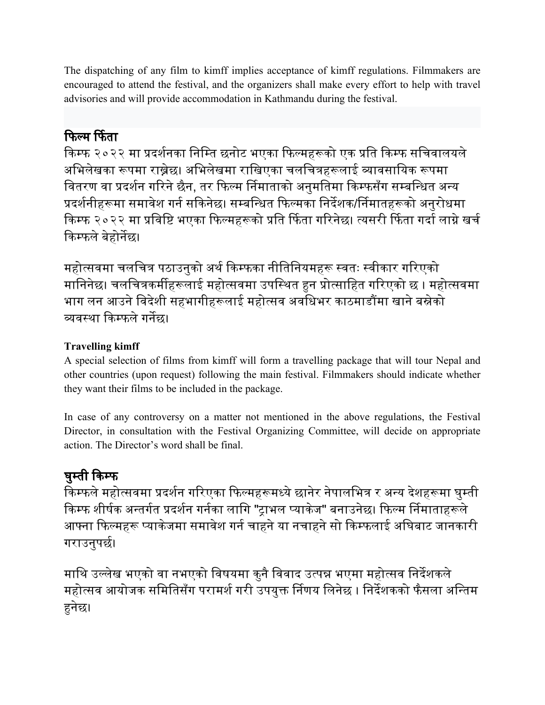The dispatching of any film to kimff implies acceptance of kimff regulations. Filmmakers are encouraged to attend the festival, and the organizers shall make every effort to help with travel advisories and will provide accommodation in Kathmandu during the festival.

# फिल्म फिता

किम्फ २०२२ मा प्रदर्शनका निम्ति छनोट भएका फिल्महरूको एक प्रति किम्फ सचिवालयले अभिलेखका रूपमा राख्नेछ। अभिलेखमा राखिएका चलचित्रहरूलाई व्यावसायिक रूपमा वितरण वा प्रदर्शन गरिने छैन, तर फिल्म निमाताको अनुमतिमा किम्फसँग सम्बन्धित अन्य प्रदर्शनीहरूमा समावेश गर्न सकिनेछ। सम्बन्धित फिल्मका निर्देशक/र्निमातहरूको अनुरोधमा किम्फ २०२२ मा प्रविष्टि भएका फिल्महरूको प्रति फिता गरिनेछ। त्यसरी फिता गर्दा लाग्ने खर्च कफले बेहोनछ।

महोत्सवमा चलचित्र पठाउनुको अर्थ किम्फका नीतिनियमहरू स्वतः स्वीकार गरिएको मानिनेछ। चलचित्रकर्मीहरूलाई महोत्सवमा उपस्थित हन प्रोत्साहित गरिएको छ । महोत्सवमा भाग लन आउने विदेशी सहभागीहरूलाई महोत्सव अवधिभर काठमाडौंमा खाने बस्नेको व्यवस्था किम्फले गर्नेछ।

## **Travelling kimff**

A special selection of films from kimff will form a travelling package that will tour Nepal and other countries (upon request) following the main festival. Filmmakers should indicate whether they want their films to be included in the package.

In case of any controversy on a matter not mentioned in the above regulations, the Festival Director, in consultation with the Festival Organizing Committee, will decide on appropriate action. The Director's word shall be final.

# घुम्ती किम्फ

किम्फले महोत्सवमा प्रदर्शन गरिएका फिल्महरूमध्ये छानेर नेपालभित्र र अन्य देशहरूमा घुम्ती किम्फ शीर्षक अन्तर्गत प्रदर्शन गर्नका लागि "ट्राभल प्याकेज" बनाउनेछ। फिल्म र्निमाताहरूले आफ्ना फिल्महरू प्याकेजमा समावेश गर्न चाहने या नचाहने सो किम्फलाई अघिबाट जानकारी गराउनुपछ।

माथि उल्लेख भएको वा नभएको विषयमा कुनै विवाद उत्पन्न भएमा महोत्सव निर्देशकले महोत्सव आयोजक समितिसँग परामर्श गरी उपयुक्त र्निणय लिनेछ । निर्देशकको फैसला अन्तिम नेछ।